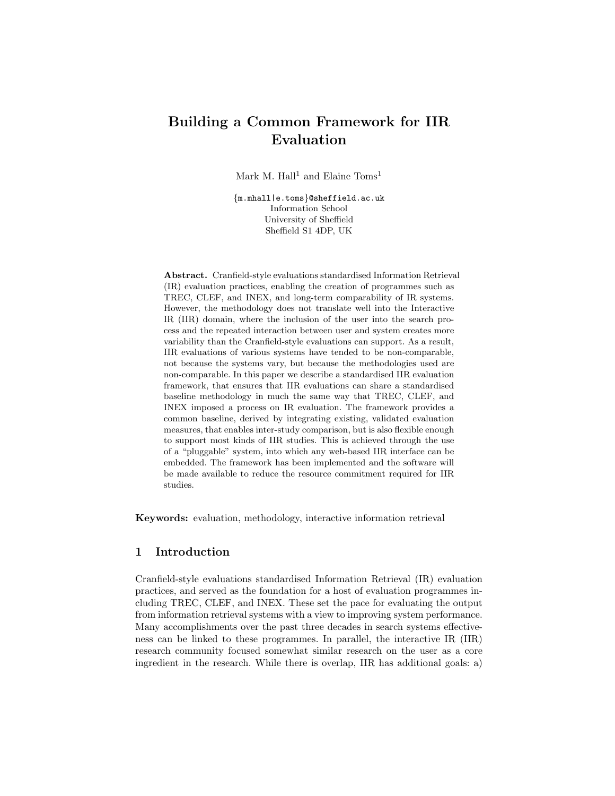# Building a Common Framework for IIR Evaluation

Mark M. Hall<sup>1</sup> and Elaine  $Toms<sup>1</sup>$ 

{m.mhall|e.toms}@sheffield.ac.uk Information School University of Sheffield Sheffield S1 4DP, UK

Abstract. Cranfield-style evaluations standardised Information Retrieval (IR) evaluation practices, enabling the creation of programmes such as TREC, CLEF, and INEX, and long-term comparability of IR systems. However, the methodology does not translate well into the Interactive IR (IIR) domain, where the inclusion of the user into the search process and the repeated interaction between user and system creates more variability than the Cranfield-style evaluations can support. As a result, IIR evaluations of various systems have tended to be non-comparable, not because the systems vary, but because the methodologies used are non-comparable. In this paper we describe a standardised IIR evaluation framework, that ensures that IIR evaluations can share a standardised baseline methodology in much the same way that TREC, CLEF, and INEX imposed a process on IR evaluation. The framework provides a common baseline, derived by integrating existing, validated evaluation measures, that enables inter-study comparison, but is also flexible enough to support most kinds of IIR studies. This is achieved through the use of a "pluggable" system, into which any web-based IIR interface can be embedded. The framework has been implemented and the software will be made available to reduce the resource commitment required for IIR studies.

Keywords: evaluation, methodology, interactive information retrieval

# 1 Introduction

Cranfield-style evaluations standardised Information Retrieval (IR) evaluation practices, and served as the foundation for a host of evaluation programmes including TREC, CLEF, and INEX. These set the pace for evaluating the output from information retrieval systems with a view to improving system performance. Many accomplishments over the past three decades in search systems effectiveness can be linked to these programmes. In parallel, the interactive IR (IIR) research community focused somewhat similar research on the user as a core ingredient in the research. While there is overlap, IIR has additional goals: a)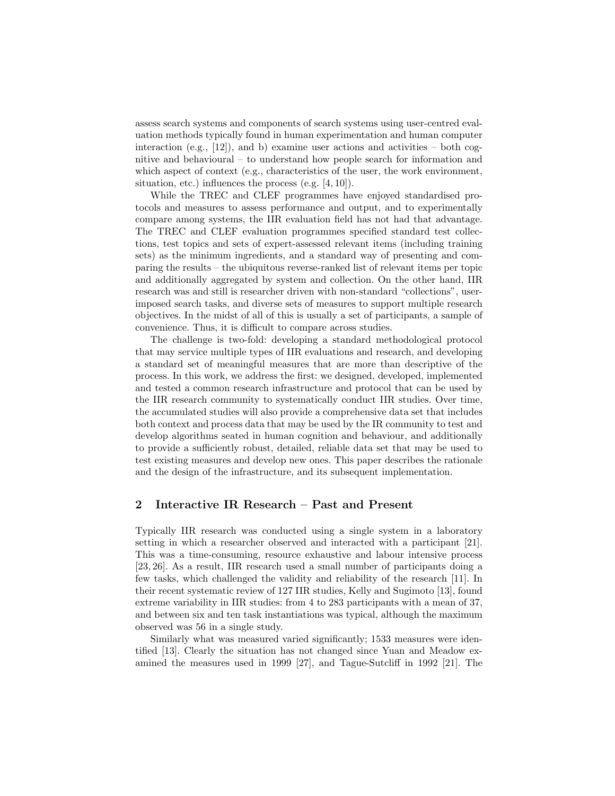assess search systems and components of search systems using user-centred evaluation methods typically found in human experimentation and human computer interaction (e.g., [12]), and b) examine user actions and activities – both cognitive and behavioural – to understand how people search for information and which aspect of context (e.g., characteristics of the user, the work environment, situation, etc.) influences the process (e.g. [4, 10]).

While the TREC and CLEF programmes have enjoyed standardised protocols and measures to assess performance and output, and to experimentally compare among systems, the IIR evaluation field has not had that advantage. The TREC and CLEF evaluation programmes specified standard test collections, test topics and sets of expert-assessed relevant items (including training sets) as the minimum ingredients, and a standard way of presenting and comparing the results – the ubiquitous reverse-ranked list of relevant items per topic and additionally aggregated by system and collection. On the other hand, IIR research was and still is researcher driven with non-standard "collections", userimposed search tasks, and diverse sets of measures to support multiple research objectives. In the midst of all of this is usually a set of participants, a sample of convenience. Thus, it is difficult to compare across studies.

The challenge is two-fold: developing a standard methodological protocol that may service multiple types of IIR evaluations and research, and developing a standard set of meaningful measures that are more than descriptive of the process. In this work, we address the first: we designed, developed, implemented and tested a common research infrastructure and protocol that can be used by the IIR research community to systematically conduct IIR studies. Over time, the accumulated studies will also provide a comprehensive data set that includes both context and process data that may be used by the IR community to test and develop algorithms seated in human cognition and behaviour, and additionally to provide a sufficiently robust, detailed, reliable data set that may be used to test existing measures and develop new ones. This paper describes the rationale and the design of the infrastructure, and its subsequent implementation.

# 2 Interactive IR Research – Past and Present

Typically IIR research was conducted using a single system in a laboratory setting in which a researcher observed and interacted with a participant [21]. This was a time-consuming, resource exhaustive and labour intensive process [23, 26]. As a result, IIR research used a small number of participants doing a few tasks, which challenged the validity and reliability of the research [11]. In their recent systematic review of 127 IIR studies, Kelly and Sugimoto [13], found extreme variability in IIR studies: from 4 to 283 participants with a mean of 37, and between six and ten task instantiations was typical, although the maximum observed was 56 in a single study.

Similarly what was measured varied significantly; 1533 measures were identified [13]. Clearly the situation has not changed since Yuan and Meadow examined the measures used in 1999 [27], and Tague-Sutcliff in 1992 [21]. The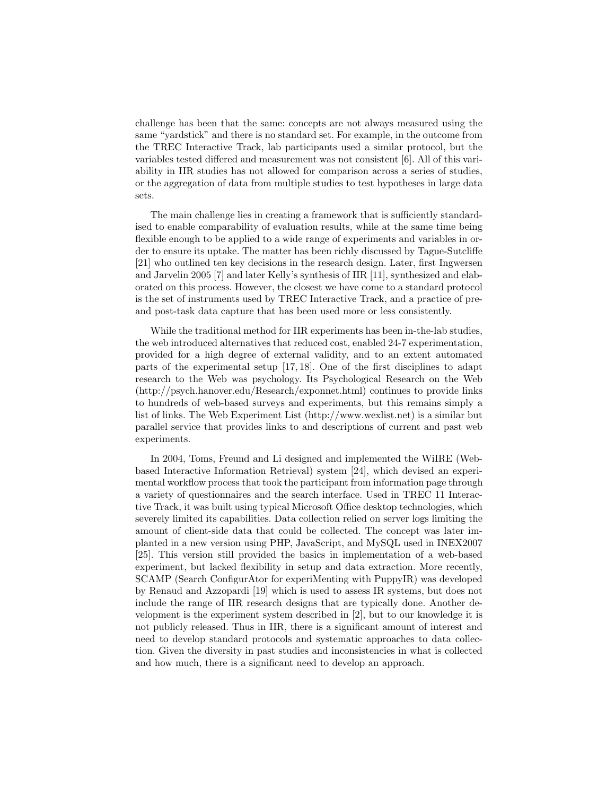challenge has been that the same: concepts are not always measured using the same "yardstick" and there is no standard set. For example, in the outcome from the TREC Interactive Track, lab participants used a similar protocol, but the variables tested differed and measurement was not consistent [6]. All of this variability in IIR studies has not allowed for comparison across a series of studies, or the aggregation of data from multiple studies to test hypotheses in large data sets.

The main challenge lies in creating a framework that is sufficiently standardised to enable comparability of evaluation results, while at the same time being flexible enough to be applied to a wide range of experiments and variables in order to ensure its uptake. The matter has been richly discussed by Tague-Sutcliffe [21] who outlined ten key decisions in the research design. Later, first Ingwersen and Jarvelin 2005 [7] and later Kelly's synthesis of IIR [11], synthesized and elaborated on this process. However, the closest we have come to a standard protocol is the set of instruments used by TREC Interactive Track, and a practice of preand post-task data capture that has been used more or less consistently.

While the traditional method for IIR experiments has been in-the-lab studies, the web introduced alternatives that reduced cost, enabled 24-7 experimentation, provided for a high degree of external validity, and to an extent automated parts of the experimental setup [17, 18]. One of the first disciplines to adapt research to the Web was psychology. Its Psychological Research on the Web (http://psych.hanover.edu/Research/exponnet.html) continues to provide links to hundreds of web-based surveys and experiments, but this remains simply a list of links. The Web Experiment List (http://www.wexlist.net) is a similar but parallel service that provides links to and descriptions of current and past web experiments.

In 2004, Toms, Freund and Li designed and implemented the WiIRE (Webbased Interactive Information Retrieval) system [24], which devised an experimental workflow process that took the participant from information page through a variety of questionnaires and the search interface. Used in TREC 11 Interactive Track, it was built using typical Microsoft Office desktop technologies, which severely limited its capabilities. Data collection relied on server logs limiting the amount of client-side data that could be collected. The concept was later implanted in a new version using PHP, JavaScript, and MySQL used in INEX2007 [25]. This version still provided the basics in implementation of a web-based experiment, but lacked flexibility in setup and data extraction. More recently, SCAMP (Search ConfigurAtor for experiMenting with PuppyIR) was developed by Renaud and Azzopardi [19] which is used to assess IR systems, but does not include the range of IIR research designs that are typically done. Another development is the experiment system described in [2], but to our knowledge it is not publicly released. Thus in IIR, there is a significant amount of interest and need to develop standard protocols and systematic approaches to data collection. Given the diversity in past studies and inconsistencies in what is collected and how much, there is a significant need to develop an approach.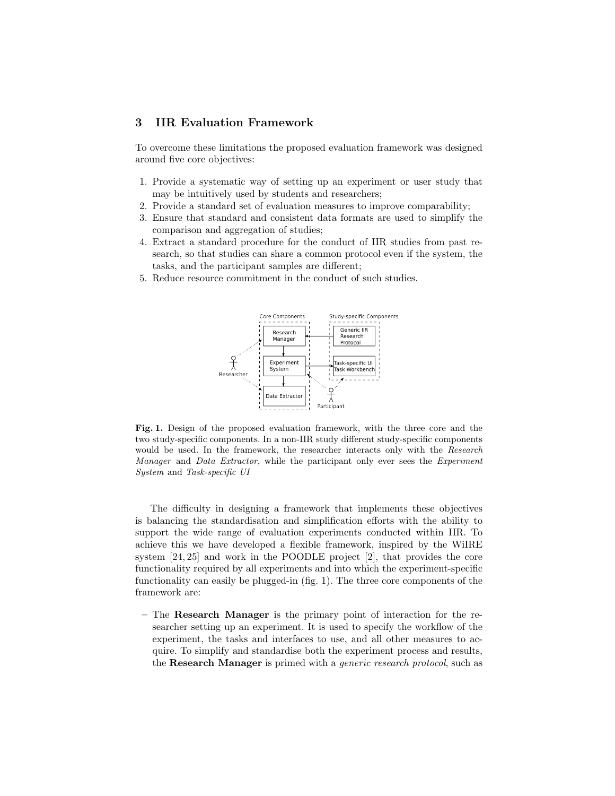# 3 IIR Evaluation Framework

To overcome these limitations the proposed evaluation framework was designed around five core objectives:

- 1. Provide a systematic way of setting up an experiment or user study that may be intuitively used by students and researchers;
- 2. Provide a standard set of evaluation measures to improve comparability;
- 3. Ensure that standard and consistent data formats are used to simplify the comparison and aggregation of studies;
- 4. Extract a standard procedure for the conduct of IIR studies from past research, so that studies can share a common protocol even if the system, the tasks, and the participant samples are different;
- 5. Reduce resource commitment in the conduct of such studies.



Fig. 1. Design of the proposed evaluation framework, with the three core and the two study-specific components. In a non-IIR study different study-specific components would be used. In the framework, the researcher interacts only with the Research Manager and Data Extractor, while the participant only ever sees the Experiment System and Task-specific UI

The difficulty in designing a framework that implements these objectives is balancing the standardisation and simplification efforts with the ability to support the wide range of evaluation experiments conducted within IIR. To achieve this we have developed a flexible framework, inspired by the WiIRE system [24, 25] and work in the POODLE project [2], that provides the core functionality required by all experiments and into which the experiment-specific functionality can easily be plugged-in (fig. 1). The three core components of the framework are:

 $-$  The Research Manager is the primary point of interaction for the researcher setting up an experiment. It is used to specify the workflow of the experiment, the tasks and interfaces to use, and all other measures to acquire. To simplify and standardise both the experiment process and results, the Research Manager is primed with a generic research protocol, such as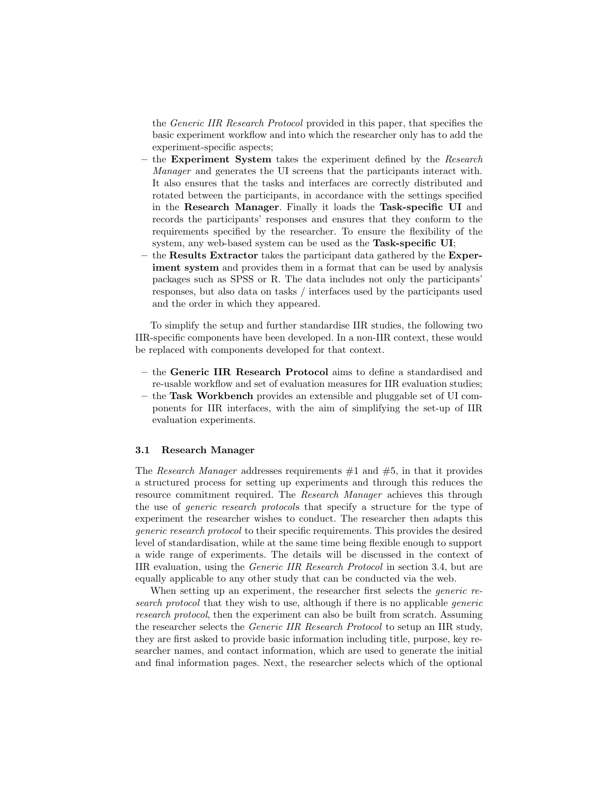the Generic IIR Research Protocol provided in this paper, that specifies the basic experiment workflow and into which the researcher only has to add the experiment-specific aspects;

- the Experiment System takes the experiment defined by the Research Manager and generates the UI screens that the participants interact with. It also ensures that the tasks and interfaces are correctly distributed and rotated between the participants, in accordance with the settings specified in the Research Manager. Finally it loads the Task-specific UI and records the participants' responses and ensures that they conform to the requirements specified by the researcher. To ensure the flexibility of the system, any web-based system can be used as the Task-specific UI;
- the Results Extractor takes the participant data gathered by the Experiment system and provides them in a format that can be used by analysis packages such as SPSS or R. The data includes not only the participants' responses, but also data on tasks / interfaces used by the participants used and the order in which they appeared.

To simplify the setup and further standardise IIR studies, the following two IIR-specific components have been developed. In a non-IIR context, these would be replaced with components developed for that context.

- the Generic IIR Research Protocol aims to define a standardised and re-usable workflow and set of evaluation measures for IIR evaluation studies;
- the Task Workbench provides an extensible and pluggable set of UI components for IIR interfaces, with the aim of simplifying the set-up of IIR evaluation experiments.

#### 3.1 Research Manager

The Research Manager addresses requirements  $\#1$  and  $\#5$ , in that it provides a structured process for setting up experiments and through this reduces the resource commitment required. The Research Manager achieves this through the use of generic research protocols that specify a structure for the type of experiment the researcher wishes to conduct. The researcher then adapts this generic research protocol to their specific requirements. This provides the desired level of standardisation, while at the same time being flexible enough to support a wide range of experiments. The details will be discussed in the context of IIR evaluation, using the Generic IIR Research Protocol in section 3.4, but are equally applicable to any other study that can be conducted via the web.

When setting up an experiment, the researcher first selects the *generic re*search protocol that they wish to use, although if there is no applicable *generic* research protocol, then the experiment can also be built from scratch. Assuming the researcher selects the Generic IIR Research Protocol to setup an IIR study, they are first asked to provide basic information including title, purpose, key researcher names, and contact information, which are used to generate the initial and final information pages. Next, the researcher selects which of the optional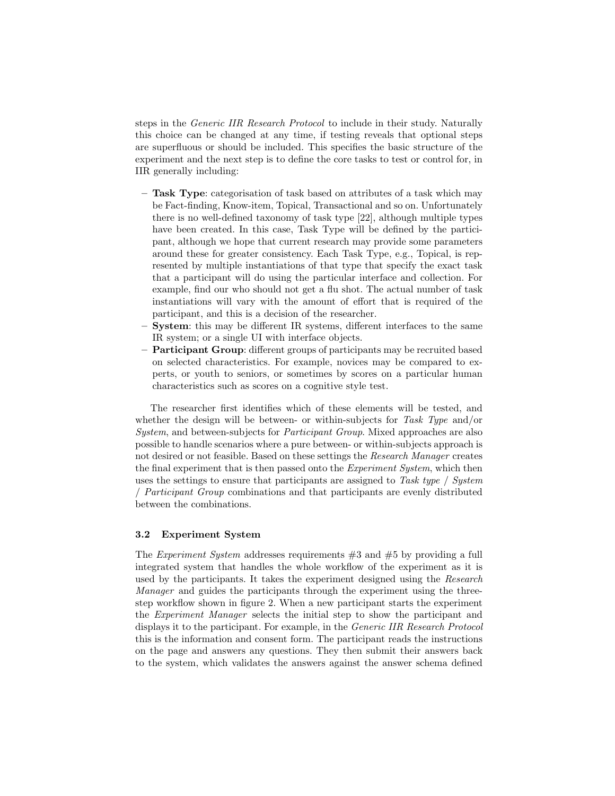steps in the Generic IIR Research Protocol to include in their study. Naturally this choice can be changed at any time, if testing reveals that optional steps are superfluous or should be included. This specifies the basic structure of the experiment and the next step is to define the core tasks to test or control for, in IIR generally including:

- Task Type: categorisation of task based on attributes of a task which may be Fact-finding, Know-item, Topical, Transactional and so on. Unfortunately there is no well-defined taxonomy of task type [22], although multiple types have been created. In this case, Task Type will be defined by the participant, although we hope that current research may provide some parameters around these for greater consistency. Each Task Type, e.g., Topical, is represented by multiple instantiations of that type that specify the exact task that a participant will do using the particular interface and collection. For example, find our who should not get a flu shot. The actual number of task instantiations will vary with the amount of effort that is required of the participant, and this is a decision of the researcher.
- System: this may be different IR systems, different interfaces to the same IR system; or a single UI with interface objects.
- Participant Group: different groups of participants may be recruited based on selected characteristics. For example, novices may be compared to experts, or youth to seniors, or sometimes by scores on a particular human characteristics such as scores on a cognitive style test.

The researcher first identifies which of these elements will be tested, and whether the design will be between- or within-subjects for Task Type and/or System, and between-subjects for Participant Group. Mixed approaches are also possible to handle scenarios where a pure between- or within-subjects approach is not desired or not feasible. Based on these settings the Research Manager creates the final experiment that is then passed onto the Experiment System, which then uses the settings to ensure that participants are assigned to Task type / System / Participant Group combinations and that participants are evenly distributed between the combinations.

#### 3.2 Experiment System

The Experiment System addresses requirements #3 and #5 by providing a full integrated system that handles the whole workflow of the experiment as it is used by the participants. It takes the experiment designed using the Research Manager and guides the participants through the experiment using the threestep workflow shown in figure 2. When a new participant starts the experiment the Experiment Manager selects the initial step to show the participant and displays it to the participant. For example, in the Generic IIR Research Protocol this is the information and consent form. The participant reads the instructions on the page and answers any questions. They then submit their answers back to the system, which validates the answers against the answer schema defined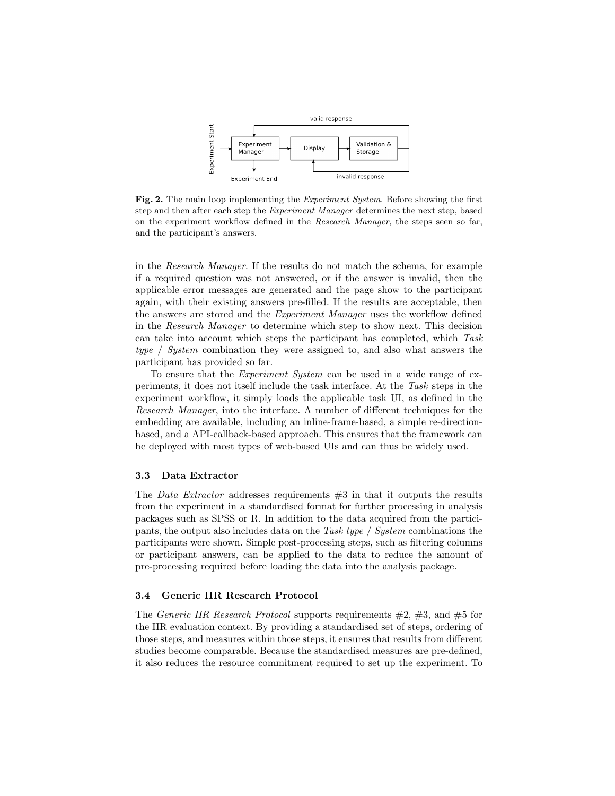

Fig. 2. The main loop implementing the *Experiment System*. Before showing the first step and then after each step the Experiment Manager determines the next step, based on the experiment workflow defined in the Research Manager, the steps seen so far, and the participant's answers.

in the Research Manager. If the results do not match the schema, for example if a required question was not answered, or if the answer is invalid, then the applicable error messages are generated and the page show to the participant again, with their existing answers pre-filled. If the results are acceptable, then the answers are stored and the Experiment Manager uses the workflow defined in the Research Manager to determine which step to show next. This decision can take into account which steps the participant has completed, which Task type / System combination they were assigned to, and also what answers the participant has provided so far.

To ensure that the Experiment System can be used in a wide range of experiments, it does not itself include the task interface. At the Task steps in the experiment workflow, it simply loads the applicable task UI, as defined in the Research Manager, into the interface. A number of different techniques for the embedding are available, including an inline-frame-based, a simple re-directionbased, and a API-callback-based approach. This ensures that the framework can be deployed with most types of web-based UIs and can thus be widely used.

#### 3.3 Data Extractor

The *Data Extractor* addresses requirements  $#3$  in that it outputs the results from the experiment in a standardised format for further processing in analysis packages such as SPSS or R. In addition to the data acquired from the participants, the output also includes data on the Task type / System combinations the participants were shown. Simple post-processing steps, such as filtering columns or participant answers, can be applied to the data to reduce the amount of pre-processing required before loading the data into the analysis package.

#### 3.4 Generic IIR Research Protocol

The *Generic IIR Research Protocol* supports requirements  $\#2, \#3$ , and  $\#5$  for the IIR evaluation context. By providing a standardised set of steps, ordering of those steps, and measures within those steps, it ensures that results from different studies become comparable. Because the standardised measures are pre-defined, it also reduces the resource commitment required to set up the experiment. To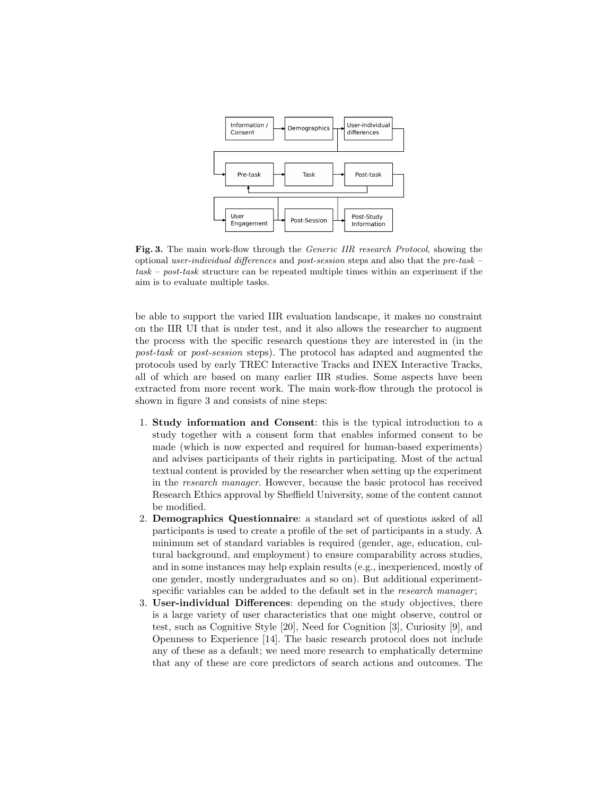

Fig. 3. The main work-flow through the *Generic IIR research Protocol*, showing the optional user-individual differences and post-session steps and also that the pre-task – task – post-task structure can be repeated multiple times within an experiment if the aim is to evaluate multiple tasks.

be able to support the varied IIR evaluation landscape, it makes no constraint on the IIR UI that is under test, and it also allows the researcher to augment the process with the specific research questions they are interested in (in the post-task or post-session steps). The protocol has adapted and augmented the protocols used by early TREC Interactive Tracks and INEX Interactive Tracks, all of which are based on many earlier IIR studies. Some aspects have been extracted from more recent work. The main work-flow through the protocol is shown in figure 3 and consists of nine steps:

- 1. Study information and Consent: this is the typical introduction to a study together with a consent form that enables informed consent to be made (which is now expected and required for human-based experiments) and advises participants of their rights in participating. Most of the actual textual content is provided by the researcher when setting up the experiment in the research manager. However, because the basic protocol has received Research Ethics approval by Sheffield University, some of the content cannot be modified.
- 2. Demographics Questionnaire: a standard set of questions asked of all participants is used to create a profile of the set of participants in a study. A minimum set of standard variables is required (gender, age, education, cultural background, and employment) to ensure comparability across studies, and in some instances may help explain results (e.g., inexperienced, mostly of one gender, mostly undergraduates and so on). But additional experimentspecific variables can be added to the default set in the *research manager*;
- 3. User-individual Differences: depending on the study objectives, there is a large variety of user characteristics that one might observe, control or test, such as Cognitive Style [20], Need for Cognition [3], Curiosity [9], and Openness to Experience [14]. The basic research protocol does not include any of these as a default; we need more research to emphatically determine that any of these are core predictors of search actions and outcomes. The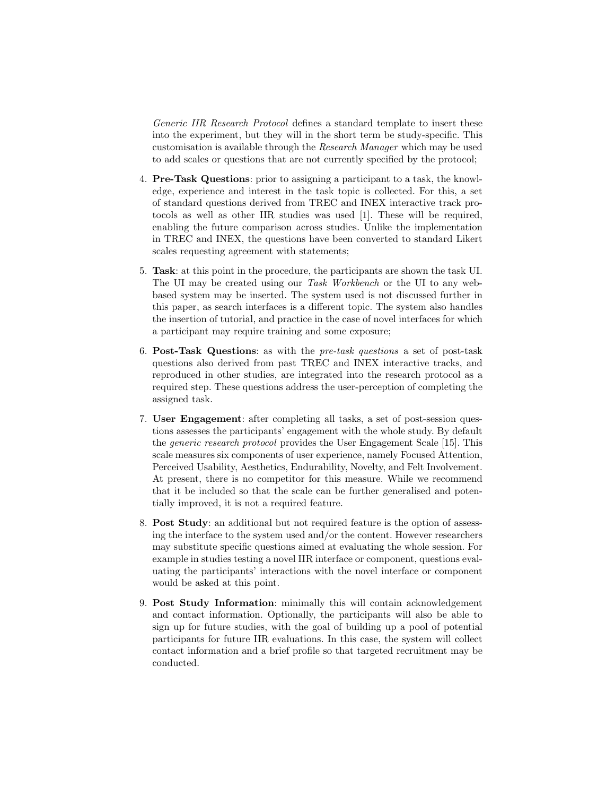Generic IIR Research Protocol defines a standard template to insert these into the experiment, but they will in the short term be study-specific. This customisation is available through the Research Manager which may be used to add scales or questions that are not currently specified by the protocol;

- 4. Pre-Task Questions: prior to assigning a participant to a task, the knowledge, experience and interest in the task topic is collected. For this, a set of standard questions derived from TREC and INEX interactive track protocols as well as other IIR studies was used [1]. These will be required, enabling the future comparison across studies. Unlike the implementation in TREC and INEX, the questions have been converted to standard Likert scales requesting agreement with statements;
- 5. Task: at this point in the procedure, the participants are shown the task UI. The UI may be created using our Task Workbench or the UI to any webbased system may be inserted. The system used is not discussed further in this paper, as search interfaces is a different topic. The system also handles the insertion of tutorial, and practice in the case of novel interfaces for which a participant may require training and some exposure;
- 6. Post-Task Questions: as with the pre-task questions a set of post-task questions also derived from past TREC and INEX interactive tracks, and reproduced in other studies, are integrated into the research protocol as a required step. These questions address the user-perception of completing the assigned task.
- 7. User Engagement: after completing all tasks, a set of post-session questions assesses the participants' engagement with the whole study. By default the generic research protocol provides the User Engagement Scale [15]. This scale measures six components of user experience, namely Focused Attention, Perceived Usability, Aesthetics, Endurability, Novelty, and Felt Involvement. At present, there is no competitor for this measure. While we recommend that it be included so that the scale can be further generalised and potentially improved, it is not a required feature.
- 8. Post Study: an additional but not required feature is the option of assessing the interface to the system used and/or the content. However researchers may substitute specific questions aimed at evaluating the whole session. For example in studies testing a novel IIR interface or component, questions evaluating the participants' interactions with the novel interface or component would be asked at this point.
- 9. Post Study Information: minimally this will contain acknowledgement and contact information. Optionally, the participants will also be able to sign up for future studies, with the goal of building up a pool of potential participants for future IIR evaluations. In this case, the system will collect contact information and a brief profile so that targeted recruitment may be conducted.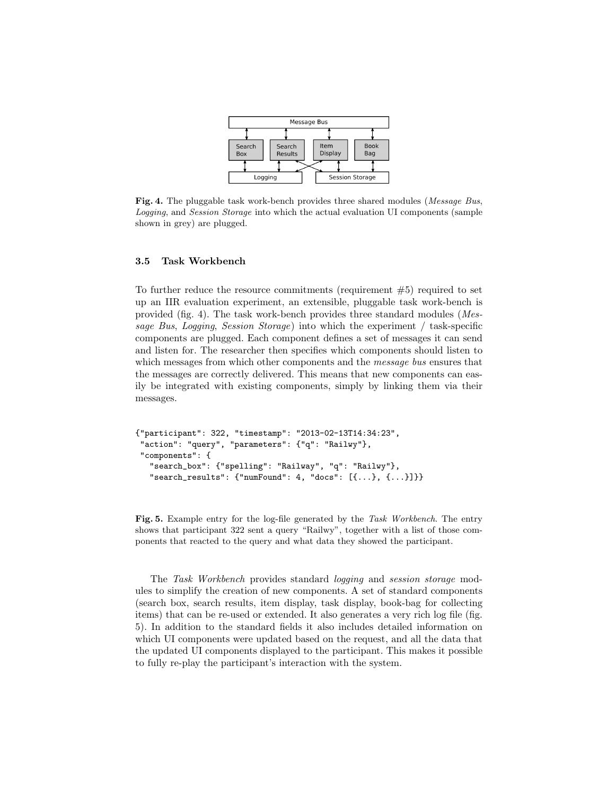

Fig. 4. The pluggable task work-bench provides three shared modules (Message Bus, Logging, and Session Storage into which the actual evaluation UI components (sample shown in grey) are plugged.

#### 3.5 Task Workbench

To further reduce the resource commitments (requirement  $#5$ ) required to set up an IIR evaluation experiment, an extensible, pluggable task work-bench is provided (fig. 4). The task work-bench provides three standard modules (Message Bus, Logging, Session Storage) into which the experiment / task-specific components are plugged. Each component defines a set of messages it can send and listen for. The researcher then specifies which components should listen to which messages from which other components and the *message bus* ensures that the messages are correctly delivered. This means that new components can easily be integrated with existing components, simply by linking them via their messages.

```
{"participant": 322, "timestamp": "2013-02-13T14:34:23",
"action": "query", "parameters": {"q": "Railwy"},
"components": {
  "search_box": {"spelling": "Railway", "q": "Railwy"},
  "search_results": {\text{{'}}\text{``numFound''}: 4, "docs": [\{... \}, \{... \}] }
```
Fig. 5. Example entry for the log-file generated by the Task Workbench. The entry shows that participant 322 sent a query "Railwy", together with a list of those components that reacted to the query and what data they showed the participant.

The Task Workbench provides standard logging and session storage modules to simplify the creation of new components. A set of standard components (search box, search results, item display, task display, book-bag for collecting items) that can be re-used or extended. It also generates a very rich log file (fig. 5). In addition to the standard fields it also includes detailed information on which UI components were updated based on the request, and all the data that the updated UI components displayed to the participant. This makes it possible to fully re-play the participant's interaction with the system.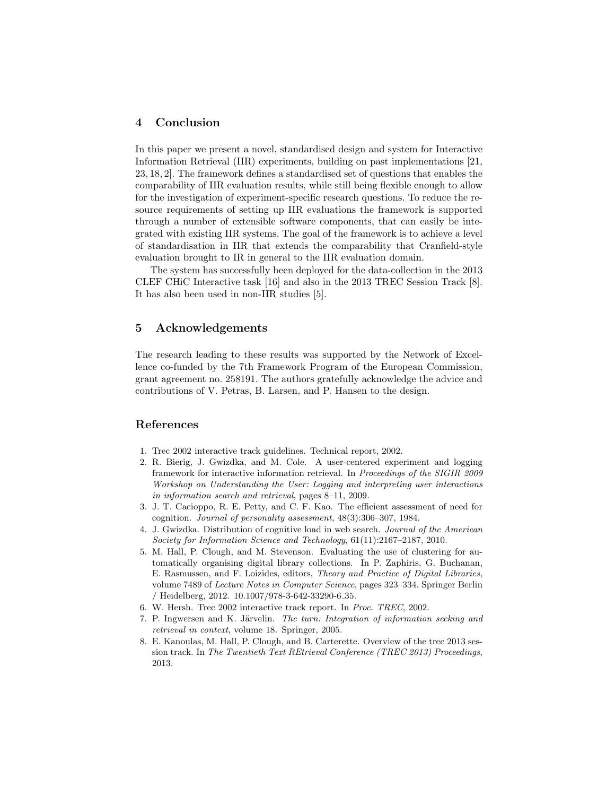# 4 Conclusion

In this paper we present a novel, standardised design and system for Interactive Information Retrieval (IIR) experiments, building on past implementations [21, 23, 18, 2]. The framework defines a standardised set of questions that enables the comparability of IIR evaluation results, while still being flexible enough to allow for the investigation of experiment-specific research questions. To reduce the resource requirements of setting up IIR evaluations the framework is supported through a number of extensible software components, that can easily be integrated with existing IIR systems. The goal of the framework is to achieve a level of standardisation in IIR that extends the comparability that Cranfield-style evaluation brought to IR in general to the IIR evaluation domain.

The system has successfully been deployed for the data-collection in the 2013 CLEF CHiC Interactive task [16] and also in the 2013 TREC Session Track [8]. It has also been used in non-IIR studies [5].

# 5 Acknowledgements

The research leading to these results was supported by the Network of Excellence co-funded by the 7th Framework Program of the European Commission, grant agreement no. 258191. The authors gratefully acknowledge the advice and contributions of V. Petras, B. Larsen, and P. Hansen to the design.

## References

- 1. Trec 2002 interactive track guidelines. Technical report, 2002.
- 2. R. Bierig, J. Gwizdka, and M. Cole. A user-centered experiment and logging framework for interactive information retrieval. In Proceedings of the SIGIR 2009 Workshop on Understanding the User: Logging and interpreting user interactions in information search and retrieval, pages 8–11, 2009.
- 3. J. T. Cacioppo, R. E. Petty, and C. F. Kao. The efficient assessment of need for cognition. Journal of personality assessment, 48(3):306–307, 1984.
- 4. J. Gwizdka. Distribution of cognitive load in web search. Journal of the American Society for Information Science and Technology, 61(11):2167–2187, 2010.
- 5. M. Hall, P. Clough, and M. Stevenson. Evaluating the use of clustering for automatically organising digital library collections. In P. Zaphiris, G. Buchanan, E. Rasmussen, and F. Loizides, editors, Theory and Practice of Digital Libraries, volume 7489 of Lecture Notes in Computer Science, pages 323–334. Springer Berlin / Heidelberg, 2012. 10.1007/978-3-642-33290-6 35.
- 6. W. Hersh. Trec 2002 interactive track report. In Proc. TREC, 2002.
- 7. P. Ingwersen and K. Järvelin. The turn: Integration of information seeking and retrieval in context, volume 18. Springer, 2005.
- 8. E. Kanoulas, M. Hall, P. Clough, and B. Carterette. Overview of the trec 2013 session track. In The Twentieth Text REtrieval Conference (TREC 2013) Proceedings, 2013.